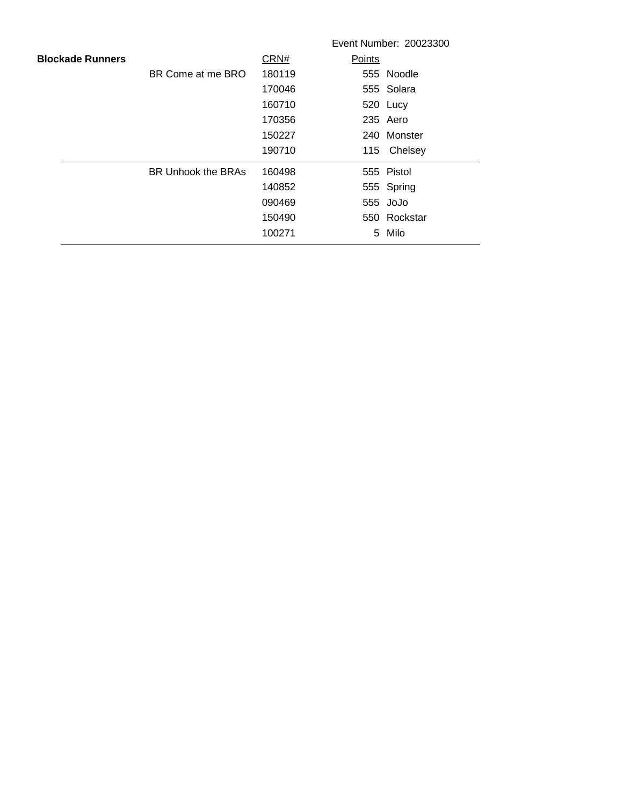|                         |                           |        |        | Event Number: 20023300 |
|-------------------------|---------------------------|--------|--------|------------------------|
| <b>Blockade Runners</b> |                           | CRN#   | Points |                        |
|                         | BR Come at me BRO         | 180119 |        | 555 Noodle             |
|                         |                           | 170046 |        | 555 Solara             |
|                         |                           | 160710 |        | 520 Lucy               |
|                         |                           | 170356 |        | 235 Aero               |
|                         |                           | 150227 |        | 240 Monster            |
|                         |                           | 190710 |        | 115 Chelsey            |
|                         | <b>BR Unhook the BRAs</b> | 160498 |        | 555 Pistol             |
|                         |                           | 140852 |        | 555 Spring             |
|                         |                           | 090469 |        | 555 JoJo               |
|                         |                           | 150490 |        | 550 Rockstar           |
|                         |                           | 100271 | 5.     | Milo                   |
|                         |                           |        |        |                        |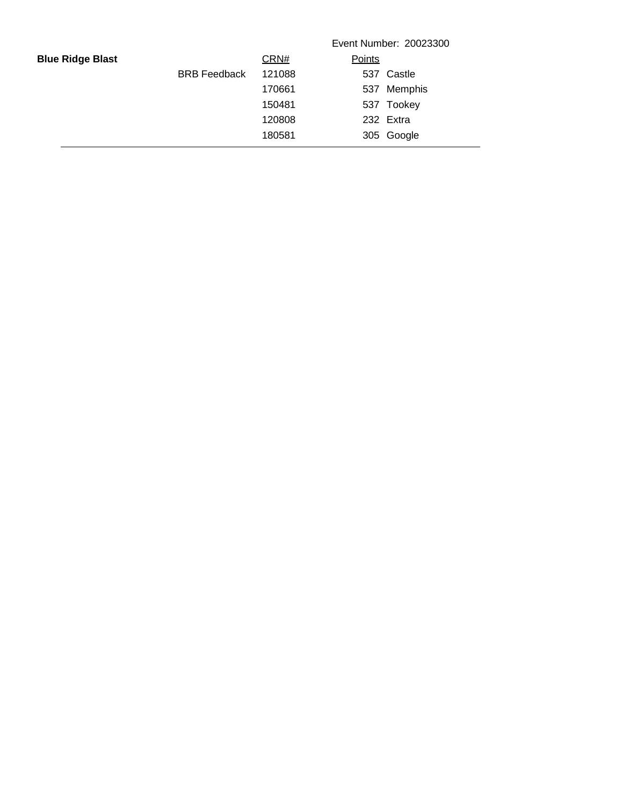|                         |                     |        |        | Event Number: 20023300 |
|-------------------------|---------------------|--------|--------|------------------------|
| <b>Blue Ridge Blast</b> |                     | CRN#   | Points |                        |
|                         | <b>BRB</b> Feedback | 121088 |        | 537 Castle             |
|                         |                     | 170661 |        | 537 Memphis            |
|                         |                     | 150481 |        | 537 Tookey             |
|                         |                     | 120808 |        | 232 Extra              |
|                         |                     | 180581 |        | 305 Google             |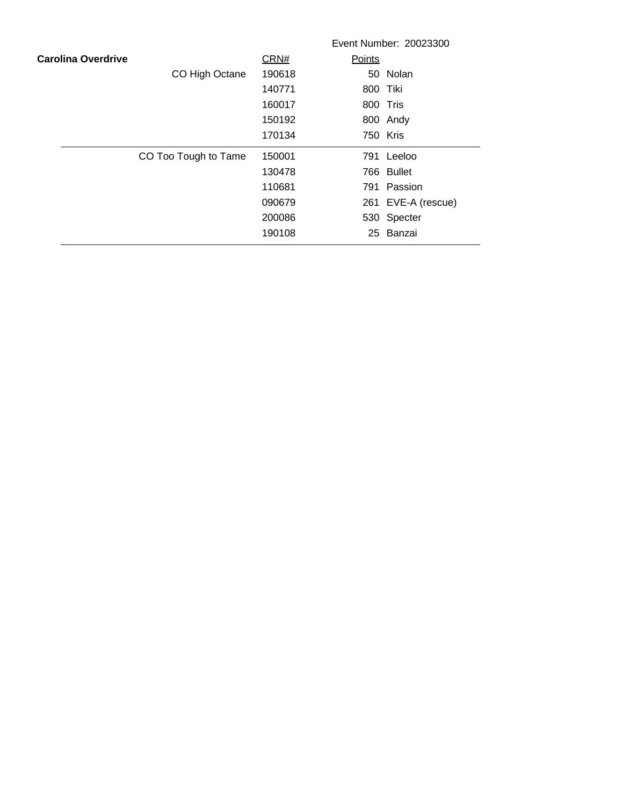|                           |                      |        | Event Number: 20023300 |
|---------------------------|----------------------|--------|------------------------|
| <b>Carolina Overdrive</b> |                      | CRN#   | Points                 |
|                           | CO High Octane       | 190618 | 50 Nolan               |
|                           |                      | 140771 | 800 Tiki               |
|                           |                      | 160017 | 800 Tris               |
|                           |                      | 150192 | 800 Andy               |
|                           |                      | 170134 | 750 Kris               |
|                           | CO Too Tough to Tame | 150001 | 791 Leeloo             |
|                           |                      | 130478 | 766 Bullet             |
|                           |                      | 110681 | 791 Passion            |
|                           |                      | 090679 | 261 EVE-A (rescue)     |
|                           |                      | 200086 | 530 Specter            |
|                           |                      | 190108 | 25 Banzai              |
|                           |                      |        |                        |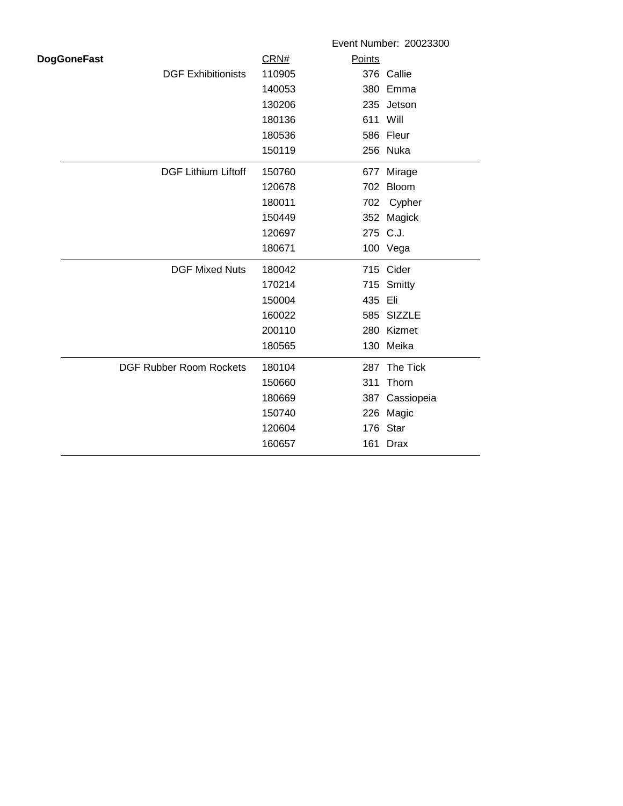|                    |                                |        | Event Number: 20023300 |
|--------------------|--------------------------------|--------|------------------------|
| <b>DogGoneFast</b> |                                | CRN#   | Points                 |
|                    | <b>DGF Exhibitionists</b>      | 110905 | 376 Callie             |
|                    |                                | 140053 | 380 Emma               |
|                    |                                | 130206 | 235 Jetson             |
|                    |                                | 180136 | 611 Will               |
|                    |                                | 180536 | 586 Fleur              |
|                    |                                | 150119 | 256 Nuka               |
|                    | <b>DGF Lithium Liftoff</b>     | 150760 | 677<br>Mirage          |
|                    |                                | 120678 | Bloom<br>702           |
|                    |                                | 180011 | Cypher<br>702          |
|                    |                                | 150449 | 352<br>Magick          |
|                    |                                | 120697 | 275 C.J.               |
|                    |                                | 180671 | 100 Vega               |
|                    | <b>DGF Mixed Nuts</b>          | 180042 | 715 Cider              |
|                    |                                | 170214 | 715<br>Smitty          |
|                    |                                | 150004 | 435<br>Eli             |
|                    |                                | 160022 | 585 SIZZLE             |
|                    |                                | 200110 | 280 Kizmet             |
|                    |                                | 180565 | 130 Meika              |
|                    | <b>DGF Rubber Room Rockets</b> | 180104 | 287 The Tick           |
|                    |                                | 150660 | 311<br>Thorn           |
|                    |                                | 180669 | 387<br>Cassiopeia      |
|                    |                                | 150740 | 226 Magic              |
|                    |                                | 120604 | Star<br>176            |
|                    |                                | 160657 | <b>Drax</b><br>161     |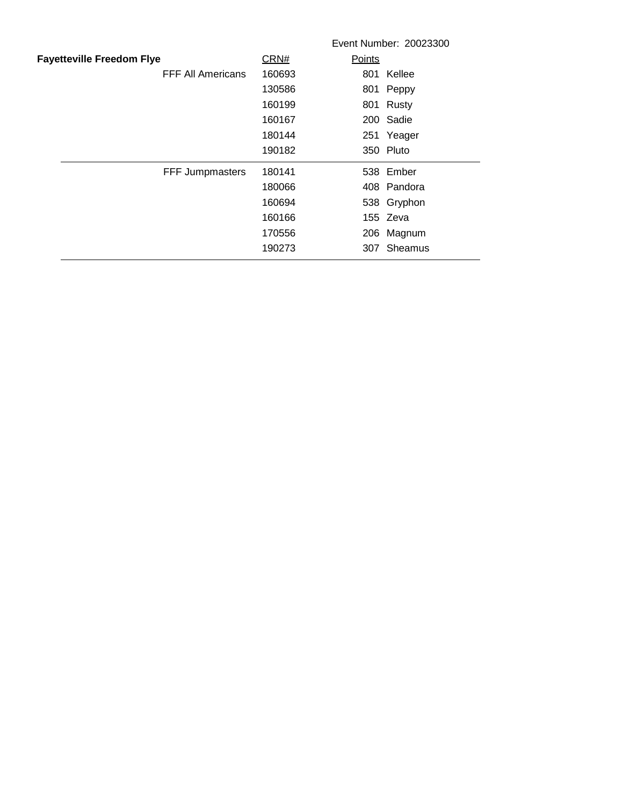|        | Event Number: 20023300 |
|--------|------------------------|
| CRN#   | Points                 |
| 160693 | 801 Kellee             |
| 130586 | 801 Peppy              |
| 160199 | 801 Rusty              |
| 160167 | 200 Sadie              |
| 180144 | 251 Yeager             |
| 190182 | 350 Pluto              |
| 180141 | 538 Ember              |
| 180066 | 408 Pandora            |
| 160694 | 538 Gryphon            |
| 160166 | 155 Zeva               |
| 170556 | 206 Magnum             |
| 190273 | 307 Sheamus            |
|        |                        |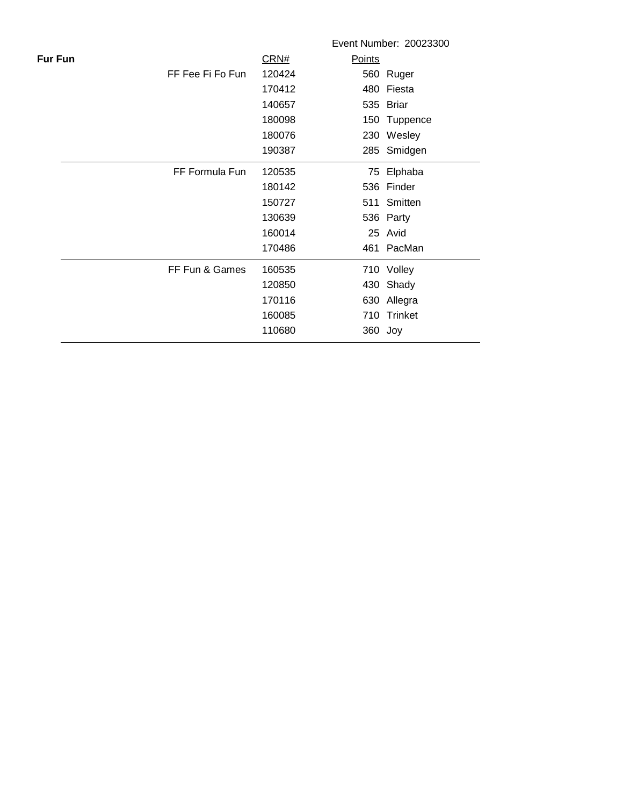|                |                  |        |               | Event Number: 20023300 |
|----------------|------------------|--------|---------------|------------------------|
| <b>Fur Fun</b> |                  | CRN#   | <b>Points</b> |                        |
|                | FF Fee Fi Fo Fun | 120424 |               | 560 Ruger              |
|                |                  | 170412 |               | 480 Fiesta             |
|                |                  | 140657 |               | 535 Briar              |
|                |                  | 180098 |               | 150 Tuppence           |
|                |                  | 180076 |               | 230 Wesley             |
|                |                  | 190387 |               | 285 Smidgen            |
|                | FF Formula Fun   | 120535 |               | 75 Elphaba             |
|                |                  | 180142 |               | 536 Finder             |
|                |                  | 150727 |               | 511 Smitten            |
|                |                  | 130639 |               | 536 Party              |
|                |                  | 160014 |               | 25 Avid                |
|                |                  | 170486 |               | 461 PacMan             |
|                | FF Fun & Games   | 160535 |               | 710 Volley             |
|                |                  | 120850 |               | 430 Shady              |
|                |                  | 170116 |               | 630 Allegra            |
|                |                  | 160085 | 710           | Trinket                |
|                |                  | 110680 | 360 Joy       |                        |
|                |                  |        |               |                        |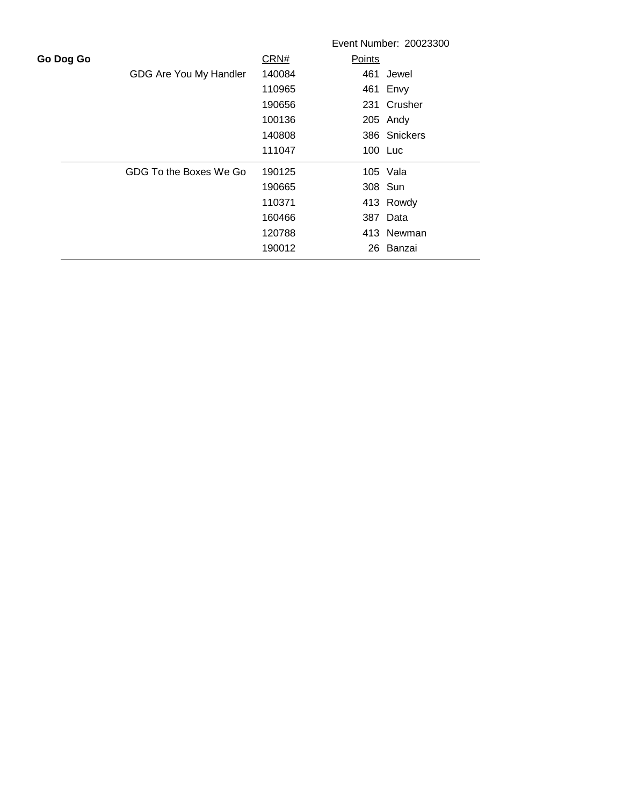|           |                        |        |               | Event Number: 20023300 |
|-----------|------------------------|--------|---------------|------------------------|
| Go Dog Go |                        | CRN#   | <b>Points</b> |                        |
|           | GDG Are You My Handler | 140084 |               | 461 Jewel              |
|           |                        | 110965 |               | 461 Envy               |
|           |                        | 190656 |               | 231 Crusher            |
|           |                        | 100136 |               | 205 Andy               |
|           |                        | 140808 |               | 386 Snickers           |
|           |                        | 111047 |               | 100 Luc                |
|           | GDG To the Boxes We Go | 190125 |               | 105 Vala               |
|           |                        | 190665 |               | 308 Sun                |
|           |                        | 110371 |               | 413 Rowdy              |
|           |                        | 160466 |               | 387 Data               |
|           |                        | 120788 |               | 413 Newman             |
|           |                        | 190012 |               | 26 Banzai              |
|           |                        |        |               |                        |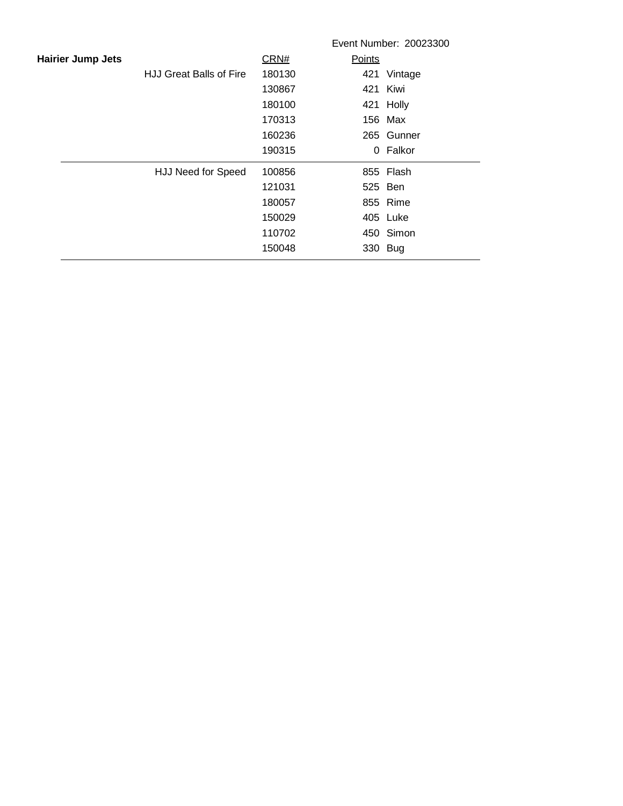|                          |                                |        |        | Event Number: 20023300 |
|--------------------------|--------------------------------|--------|--------|------------------------|
| <b>Hairier Jump Jets</b> |                                | CRN#   | Points |                        |
|                          | <b>HJJ Great Balls of Fire</b> | 180130 |        | 421 Vintage            |
|                          |                                | 130867 |        | 421 Kiwi               |
|                          |                                | 180100 |        | 421 Holly              |
|                          |                                | 170313 |        | 156 Max                |
|                          |                                | 160236 |        | 265 Gunner             |
|                          |                                | 190315 |        | 0 Falkor               |
|                          | HJJ Need for Speed             | 100856 |        | 855 Flash              |
|                          |                                | 121031 |        | 525 Ben                |
|                          |                                | 180057 |        | 855 Rime               |
|                          |                                | 150029 |        | 405 Luke               |
|                          |                                | 110702 |        | 450 Simon              |
|                          |                                | 150048 |        | 330 Bug                |
|                          |                                |        |        |                        |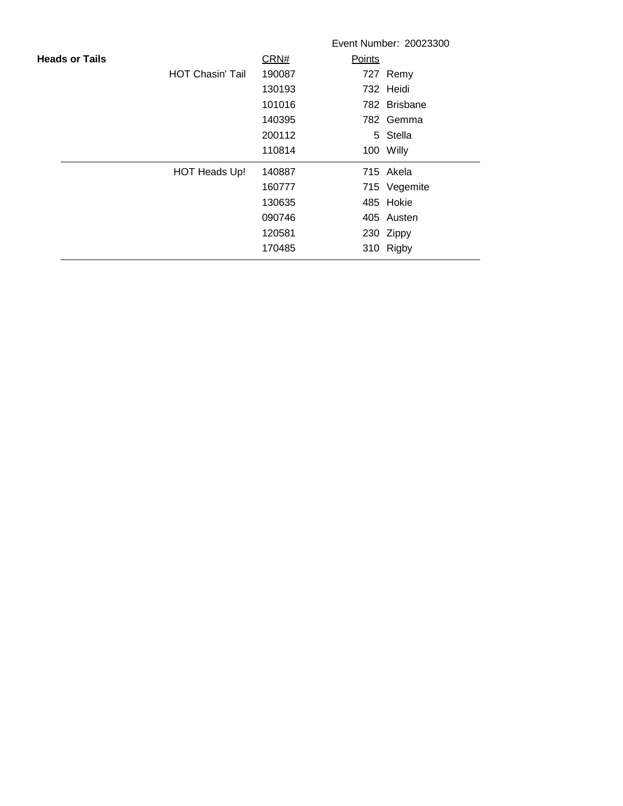|                       |                         |        |        | Event Number: 20023300 |
|-----------------------|-------------------------|--------|--------|------------------------|
| <b>Heads or Tails</b> |                         | CRN#   | Points |                        |
|                       | <b>HOT Chasin' Tail</b> | 190087 |        | 727 Remy               |
|                       |                         | 130193 |        | 732 Heidi              |
|                       |                         | 101016 |        | 782 Brisbane           |
|                       |                         | 140395 |        | 782 Gemma              |
|                       |                         | 200112 |        | 5 Stella               |
|                       |                         | 110814 |        | 100 Willy              |
|                       | HOT Heads Up!           | 140887 |        | 715 Akela              |
|                       |                         | 160777 |        | 715 Vegemite           |
|                       |                         | 130635 |        | 485 Hokie              |
|                       |                         | 090746 |        | 405 Austen             |
|                       |                         | 120581 |        | 230 Zippy              |
|                       |                         | 170485 |        | 310 Rigby              |
|                       |                         |        |        |                        |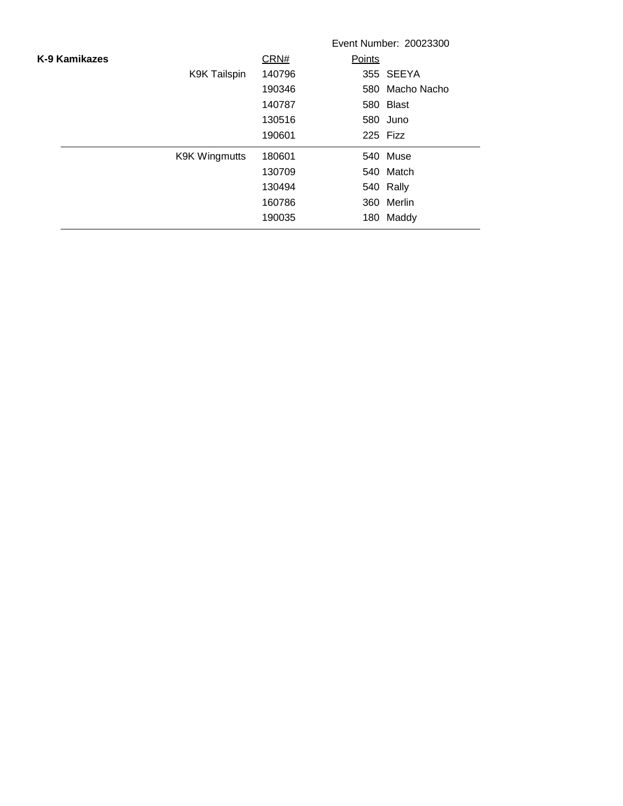|               |                      |        | Event Number: 20023300 |  |
|---------------|----------------------|--------|------------------------|--|
| K-9 Kamikazes |                      | CRN#   | Points                 |  |
|               | <b>K9K Tailspin</b>  | 140796 | 355 SEEYA              |  |
|               |                      | 190346 | 580 Macho Nacho        |  |
|               |                      | 140787 | 580 Blast              |  |
|               |                      | 130516 | 580 Juno               |  |
|               |                      | 190601 | 225 Fizz               |  |
|               | <b>K9K Wingmutts</b> | 180601 | 540 Muse               |  |
|               |                      | 130709 | 540 Match              |  |
|               |                      | 130494 | 540 Rally              |  |
|               |                      | 160786 | 360 Merlin             |  |
|               |                      | 190035 | 180 Maddy              |  |
|               |                      |        |                        |  |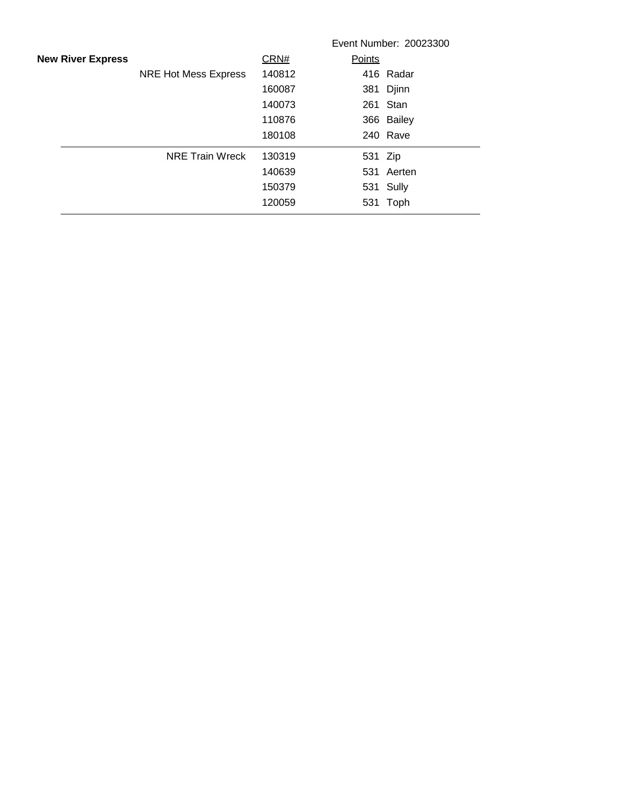|                          |                             |        | Event Number: 20023300 |
|--------------------------|-----------------------------|--------|------------------------|
| <b>New River Express</b> |                             | CRN#   | Points                 |
|                          | <b>NRE Hot Mess Express</b> | 140812 | 416 Radar              |
|                          |                             | 160087 | 381 Djinn              |
|                          |                             | 140073 | 261 Stan               |
|                          |                             | 110876 | 366 Bailey             |
|                          |                             | 180108 | 240 Rave               |
|                          | <b>NRE Train Wreck</b>      | 130319 | 531 Zip                |
|                          |                             | 140639 | 531 Aerten             |
|                          |                             | 150379 | 531 Sully              |
|                          |                             | 120059 | 531<br>Toph            |
|                          |                             |        |                        |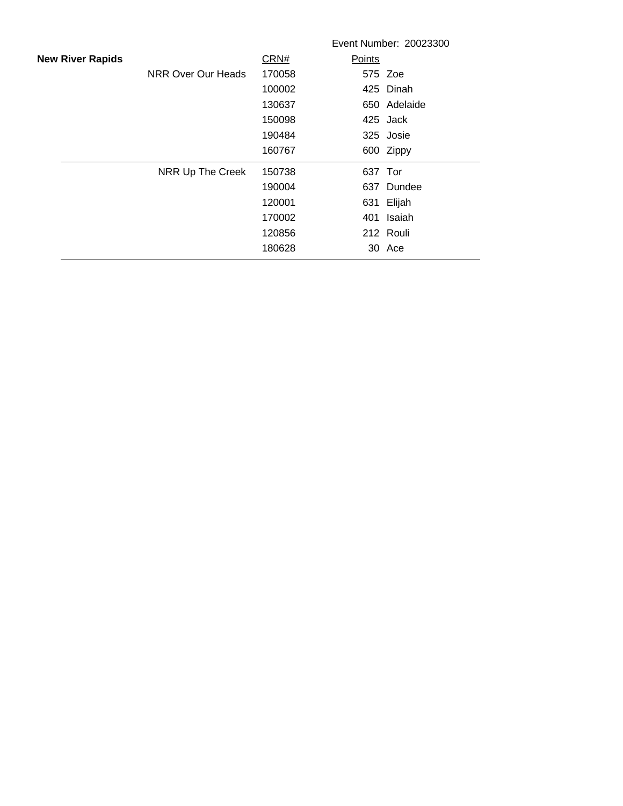|                         |                    |        |         | Event Number: 20023300 |
|-------------------------|--------------------|--------|---------|------------------------|
| <b>New River Rapids</b> |                    | CRN#   | Points  |                        |
|                         | NRR Over Our Heads | 170058 |         | 575 Zoe                |
|                         |                    | 100002 |         | 425 Dinah              |
|                         |                    | 130637 |         | 650 Adelaide           |
|                         |                    | 150098 |         | 425 Jack               |
|                         |                    | 190484 |         | 325 Josie              |
|                         |                    | 160767 |         | 600 Zippy              |
|                         | NRR Up The Creek   | 150738 | 637 Tor |                        |
|                         |                    | 190004 |         | 637 Dundee             |
|                         |                    | 120001 |         | 631 Elijah             |
|                         |                    | 170002 |         | 401 Isaiah             |
|                         |                    | 120856 |         | 212 Rouli              |
|                         |                    | 180628 |         | 30 Ace                 |
|                         |                    |        |         |                        |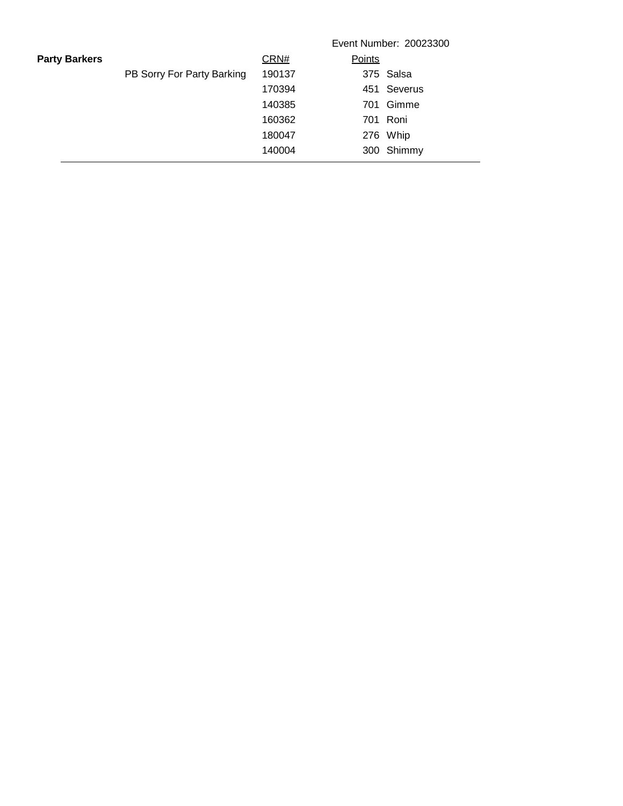|                      |                            | Event Number: 20023300 |             |  |  |
|----------------------|----------------------------|------------------------|-------------|--|--|
| <b>Party Barkers</b> |                            | CRN#                   | Points      |  |  |
|                      | PB Sorry For Party Barking | 190137                 | 375 Salsa   |  |  |
|                      |                            | 170394                 | 451 Severus |  |  |
|                      |                            | 140385                 | 701 Gimme   |  |  |
|                      |                            | 160362                 | 701 Roni    |  |  |
|                      |                            | 180047                 | 276 Whip    |  |  |
|                      |                            | 140004                 | 300 Shimmy  |  |  |